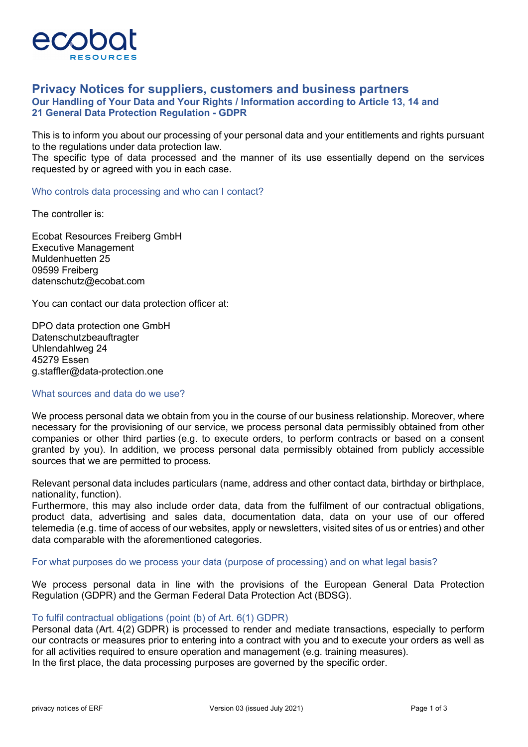

# **Privacy Notices for suppliers, customers and business partners Our Handling of Your Data and Your Rights / Information according to Article 13, 14 and 21 General Data Protection Regulation - GDPR**

This is to inform you about our processing of your personal data and your entitlements and rights pursuant to the regulations under data protection law.

The specific type of data processed and the manner of its use essentially depend on the services requested by or agreed with you in each case.

Who controls data processing and who can I contact?

The controller is:

Ecobat Resources Freiberg GmbH Executive Management Muldenhuetten 25 09599 Freiberg datenschutz@ecobat.com

You can contact our data protection officer at:

DPO data protection one GmbH Datenschutzbeauftragter Uhlendahlweg 24 45279 Essen g.staffler@data-protection.one

#### What sources and data do we use?

We process personal data we obtain from you in the course of our business relationship. Moreover, where necessary for the provisioning of our service, we process personal data permissibly obtained from other companies or other third parties (e.g. to execute orders, to perform contracts or based on a consent granted by you). In addition, we process personal data permissibly obtained from publicly accessible sources that we are permitted to process.

Relevant personal data includes particulars (name, address and other contact data, birthday or birthplace, nationality, function).

Furthermore, this may also include order data, data from the fulfilment of our contractual obligations, product data, advertising and sales data, documentation data, data on your use of our offered telemedia (e.g. time of access of our websites, apply or newsletters, visited sites of us or entries) and other data comparable with the aforementioned categories.

For what purposes do we process your data (purpose of processing) and on what legal basis?

We process personal data in line with the provisions of the European General Data Protection Regulation (GDPR) and the German Federal Data Protection Act (BDSG).

### To fulfil contractual obligations (point (b) of Art. 6(1) GDPR)

Personal data (Art. 4(2) GDPR) is processed to render and mediate transactions, especially to perform our contracts or measures prior to entering into a contract with you and to execute your orders as well as for all activities required to ensure operation and management (e.g. training measures). In the first place, the data processing purposes are governed by the specific order.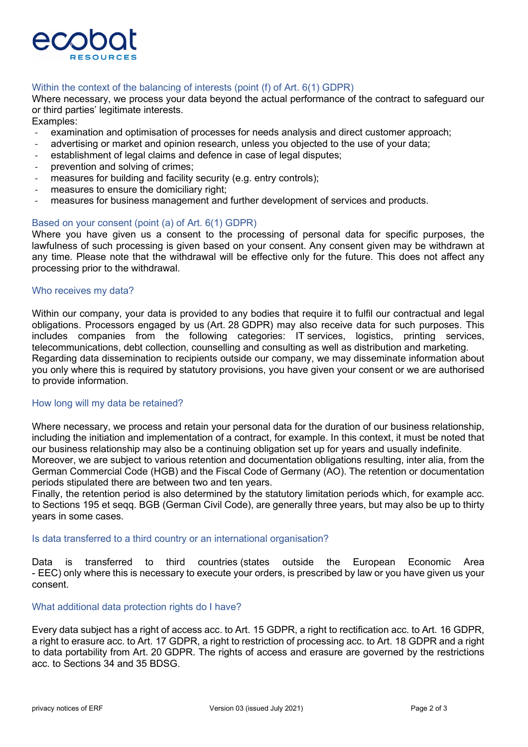

## Within the context of the balancing of interests (point (f) of Art. 6(1) GDPR)

Where necessary, we process your data beyond the actual performance of the contract to safeguard our or third parties' legitimate interests.

Examples:

- examination and optimisation of processes for needs analysis and direct customer approach;
- advertising or market and opinion research, unless you objected to the use of your data;
- establishment of legal claims and defence in case of legal disputes;
- prevention and solving of crimes;
- measures for building and facility security (e.g. entry controls);
- measures to ensure the domiciliary right;
- measures for business management and further development of services and products.

#### Based on your consent (point (a) of Art. 6(1) GDPR)

Where you have given us a consent to the processing of personal data for specific purposes, the lawfulness of such processing is given based on your consent. Any consent given may be withdrawn at any time. Please note that the withdrawal will be effective only for the future. This does not affect any processing prior to the withdrawal.

#### Who receives my data?

Within our company, your data is provided to any bodies that require it to fulfil our contractual and legal obligations. Processors engaged by us (Art. 28 GDPR) may also receive data for such purposes. This includes companies from the following categories: IT services, logistics, printing services, telecommunications, debt collection, counselling and consulting as well as distribution and marketing. Regarding data dissemination to recipients outside our company, we may disseminate information about you only where this is required by statutory provisions, you have given your consent or we are authorised to provide information.

#### How long will my data be retained?

Where necessary, we process and retain your personal data for the duration of our business relationship, including the initiation and implementation of a contract, for example. In this context, it must be noted that our business relationship may also be a continuing obligation set up for years and usually indefinite. Moreover, we are subject to various retention and documentation obligations resulting, inter alia, from the German Commercial Code (HGB) and the Fiscal Code of Germany (AO). The retention or documentation periods stipulated there are between two and ten years.

Finally, the retention period is also determined by the statutory limitation periods which, for example acc. to Sections 195 et seqq. BGB (German Civil Code), are generally three years, but may also be up to thirty years in some cases.

#### Is data transferred to a third country or an international organisation?

Data is transferred to third countries (states outside the European Economic Area - EEC) only where this is necessary to execute your orders, is prescribed by law or you have given us your consent.

#### What additional data protection rights do I have?

Every data subject has a right of access acc. to Art. 15 GDPR, a right to rectification acc. to Art. 16 GDPR, a right to erasure acc. to Art. 17 GDPR, a right to restriction of processing acc. to Art. 18 GDPR and a right to data portability from Art. 20 GDPR. The rights of access and erasure are governed by the restrictions acc. to Sections 34 and 35 BDSG.